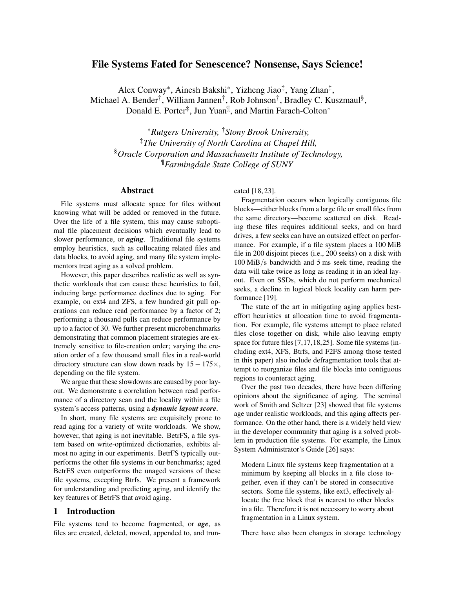# File Systems Fated for Senescence? Nonsense, Says Science!

Alex Conway<sup>∗</sup>, Ainesh Bakshi<sup>∗</sup>, Yizheng Jiao<sup>‡</sup>, Yang Zhan<sup>‡</sup>, Michael A. Bender<sup>†</sup>, William Jannen<sup>†</sup>, Rob Johnson<sup>†</sup>, Bradley C. Kuszmaul<sup>§</sup>, Donald E. Porter<sup>‡</sup>, Jun Yuan<sup>¶</sup>, and Martin Farach-Colton<sup>\*</sup>

<sup>∗</sup>*Rutgers University,* †*Stony Brook University,* ‡*The University of North Carolina at Chapel Hill,* §*Oracle Corporation and Massachusetts Institute of Technology,* ¶*Farmingdale State College of SUNY*

#### Abstract

File systems must allocate space for files without knowing what will be added or removed in the future. Over the life of a file system, this may cause suboptimal file placement decisions which eventually lead to slower performance, or *aging*. Traditional file systems employ heuristics, such as collocating related files and data blocks, to avoid aging, and many file system implementors treat aging as a solved problem.

However, this paper describes realistic as well as synthetic workloads that can cause these heuristics to fail, inducing large performance declines due to aging. For example, on ext4 and ZFS, a few hundred git pull operations can reduce read performance by a factor of 2; performing a thousand pulls can reduce performance by up to a factor of 30. We further present microbenchmarks demonstrating that common placement strategies are extremely sensitive to file-creation order; varying the creation order of a few thousand small files in a real-world directory structure can slow down reads by  $15 - 175 \times$ , depending on the file system.

We argue that these slowdowns are caused by poor layout. We demonstrate a correlation between read performance of a directory scan and the locality within a file system's access patterns, using a *dynamic layout score*.

In short, many file systems are exquisitely prone to read aging for a variety of write workloads. We show, however, that aging is not inevitable. BetrFS, a file system based on write-optimized dictionaries, exhibits almost no aging in our experiments. BetrFS typically outperforms the other file systems in our benchmarks; aged BetrFS even outperforms the unaged versions of these file systems, excepting Btrfs. We present a framework for understanding and predicting aging, and identify the key features of BetrFS that avoid aging.

### 1 Introduction

File systems tend to become fragmented, or *age*, as files are created, deleted, moved, appended to, and truncated [18, 23].

Fragmentation occurs when logically contiguous file blocks—either blocks from a large file or small files from the same directory—become scattered on disk. Reading these files requires additional seeks, and on hard drives, a few seeks can have an outsized effect on performance. For example, if a file system places a 100 MiB file in 200 disjoint pieces (i.e., 200 seeks) on a disk with 100 MiB/s bandwidth and 5 ms seek time, reading the data will take twice as long as reading it in an ideal layout. Even on SSDs, which do not perform mechanical seeks, a decline in logical block locality can harm performance [19].

The state of the art in mitigating aging applies besteffort heuristics at allocation time to avoid fragmentation. For example, file systems attempt to place related files close together on disk, while also leaving empty space for future files [7,17,18,25]. Some file systems (including ext4, XFS, Btrfs, and F2FS among those tested in this paper) also include defragmentation tools that attempt to reorganize files and file blocks into contiguous regions to counteract aging.

Over the past two decades, there have been differing opinions about the significance of aging. The seminal work of Smith and Seltzer [23] showed that file systems age under realistic workloads, and this aging affects performance. On the other hand, there is a widely held view in the developer community that aging is a solved problem in production file systems. For example, the Linux System Administrator's Guide [26] says:

Modern Linux file systems keep fragmentation at a minimum by keeping all blocks in a file close together, even if they can't be stored in consecutive sectors. Some file systems, like ext3, effectively allocate the free block that is nearest to other blocks in a file. Therefore it is not necessary to worry about fragmentation in a Linux system.

There have also been changes in storage technology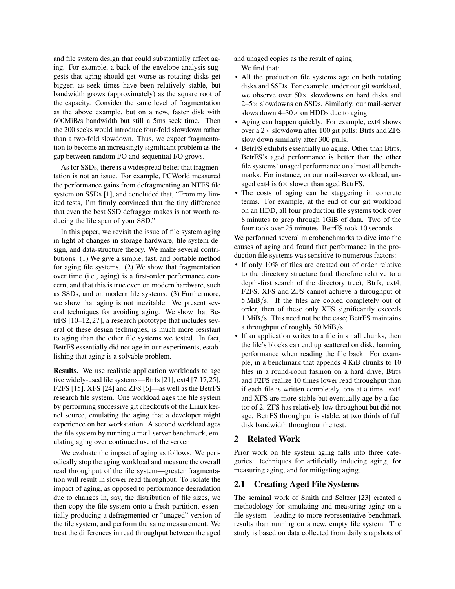and file system design that could substantially affect aging. For example, a back-of-the-envelope analysis suggests that aging should get worse as rotating disks get bigger, as seek times have been relatively stable, but bandwidth grows (approximately) as the square root of the capacity. Consider the same level of fragmentation as the above example, but on a new, faster disk with 600MiB/s bandwidth but still a 5ms seek time. Then the 200 seeks would introduce four-fold slowdown rather than a two-fold slowdown. Thus, we expect fragmentation to become an increasingly significant problem as the gap between random I/O and sequential I/O grows.

As for SSDs, there is a widespread belief that fragmentation is not an issue. For example, PCWorld measured the performance gains from defragmenting an NTFS file system on SSDs [1], and concluded that, "From my limited tests, I'm firmly convinced that the tiny difference that even the best SSD defragger makes is not worth reducing the life span of your SSD."

In this paper, we revisit the issue of file system aging in light of changes in storage hardware, file system design, and data-structure theory. We make several contributions: (1) We give a simple, fast, and portable method for aging file systems. (2) We show that fragmentation over time (i.e., aging) is a first-order performance concern, and that this is true even on modern hardware, such as SSDs, and on modern file systems. (3) Furthermore, we show that aging is not inevitable. We present several techniques for avoiding aging. We show that BetrFS [10–12, 27], a research prototype that includes several of these design techniques, is much more resistant to aging than the other file systems we tested. In fact, BetrFS essentially did not age in our experiments, establishing that aging is a solvable problem.

Results. We use realistic application workloads to age five widely-used file systems—Btrfs [21], ext4 [7,17,25], F2FS [15], XFS [24] and ZFS [6]—as well as the BetrFS research file system. One workload ages the file system by performing successive git checkouts of the Linux kernel source, emulating the aging that a developer might experience on her workstation. A second workload ages the file system by running a mail-server benchmark, emulating aging over continued use of the server.

We evaluate the impact of aging as follows. We periodically stop the aging workload and measure the overall read throughput of the file system—greater fragmentation will result in slower read throughput. To isolate the impact of aging, as opposed to performance degradation due to changes in, say, the distribution of file sizes, we then copy the file system onto a fresh partition, essentially producing a defragmented or "unaged" version of the file system, and perform the same measurement. We treat the differences in read throughput between the aged and unaged copies as the result of aging. We find that:

- All the production file systems age on both rotating disks and SSDs. For example, under our git workload, we observe over  $50\times$  slowdowns on hard disks and  $2-5\times$  slowdowns on SSDs. Similarly, our mail-server slows down  $4-30\times$  on HDDs due to aging.
- Aging can happen quickly. For example, ext4 shows over a  $2 \times$  slowdown after 100 git pulls; Btrfs and ZFS slow down similarly after 300 pulls.
- BetrFS exhibits essentially no aging. Other than Btrfs, BetrFS's aged performance is better than the other file systems' unaged performance on almost all benchmarks. For instance, on our mail-server workload, unaged ext4 is  $6 \times$  slower than aged BetrFS.
- The costs of aging can be staggering in concrete terms. For example, at the end of our git workload on an HDD, all four production file systems took over 8 minutes to grep through 1GiB of data. Two of the four took over 25 minutes. BetrFS took 10 seconds.

We performed several microbenchmarks to dive into the causes of aging and found that performance in the production file systems was sensitive to numerous factors:

- If only 10% of files are created out of order relative to the directory structure (and therefore relative to a depth-first search of the directory tree), Btrfs, ext4, F2FS, XFS and ZFS cannot achieve a throughput of 5 MiB/s. If the files are copied completely out of order, then of these only XFS significantly exceeds 1 MiB/s. This need not be the case; BetrFS maintains a throughput of roughly 50 MiB/s.
- If an application writes to a file in small chunks, then the file's blocks can end up scattered on disk, harming performance when reading the file back. For example, in a benchmark that appends 4 KiB chunks to 10 files in a round-robin fashion on a hard drive, Btrfs and F2FS realize 10 times lower read throughput than if each file is written completely, one at a time. ext4 and XFS are more stable but eventually age by a factor of 2. ZFS has relatively low throughout but did not age. BetrFS throughput is stable, at two thirds of full disk bandwidth throughout the test.

## 2 Related Work

Prior work on file system aging falls into three categories: techniques for artificially inducing aging, for measuring aging, and for mitigating aging.

## 2.1 Creating Aged File Systems

The seminal work of Smith and Seltzer [23] created a methodology for simulating and measuring aging on a file system—leading to more representative benchmark results than running on a new, empty file system. The study is based on data collected from daily snapshots of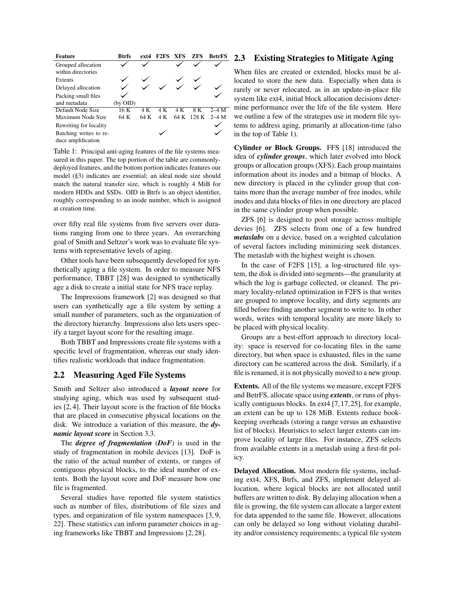| <b>Feature</b>         | <b>Btrfs</b> | ext4 | F2FS XFS |     | <b>ZFS</b> | <b>BetrFS</b> |
|------------------------|--------------|------|----------|-----|------------|---------------|
| Grouped allocation     |              |      |          |     |            |               |
| within directories     |              |      |          |     |            |               |
| Extents                |              |      |          |     |            |               |
| Delayed allocation     |              |      |          |     |            |               |
| Packing small files    |              |      |          |     |            |               |
| and metadata           | (by OID)     |      |          |     |            |               |
| Default Node Size      | 16 K         | 4 K  | 4 K      | 4 K | 8 K        | $2-4$ M       |
| Maximum Node Size      | 64 K         | 64 K | 4 K      |     | 64 K 128 K | $2 - 4$ M     |
| Rewriting for locality |              |      |          |     |            |               |
| Batching writes to re- |              |      |          |     |            |               |
| duce amplification     |              |      |          |     |            |               |

Table 1: Principal anti-aging features of the file systems measured in this paper. The top portion of the table are commonlydeployed features, and the bottom portion indicates features our model (§3) indicates are essential; an ideal node size should match the natural transfer size, which is roughly 4 MiB for modern HDDs and SSDs. OID in Btrfs is an object identifier, roughly corresponding to an inode number, which is assigned at creation time.

over fifty real file systems from five servers over durations ranging from one to three years. An overarching goal of Smith and Seltzer's work was to evaluate file systems with representative levels of aging.

Other tools have been subsequently developed for synthetically aging a file system. In order to measure NFS performance, TBBT [28] was designed to synthetically age a disk to create a initial state for NFS trace replay.

The Impressions framework [2] was designed so that users can synthetically age a file system by setting a small number of parameters, such as the organization of the directory hierarchy. Impressions also lets users specify a target layout score for the resulting image.

Both TBBT and Impressions create file systems with a specific level of fragmentation, whereas our study identifies realistic workloads that induce fragmentation.

#### 2.2 Measuring Aged File Systems

Smith and Seltzer also introduced a *layout score* for studying aging, which was used by subsequent studies [2, 4]. Their layout score is the fraction of file blocks that are placed in consecutive physical locations on the disk. We introduce a variation of this measure, the *dynamic layout score* in Section 3.3.

The *degree of fragmentation* (*DoF*) is used in the study of fragmentation in mobile devices [13]. DoF is the ratio of the actual number of extents, or ranges of contiguous physical blocks, to the ideal number of extents. Both the layout score and DoF measure how one file is fragmented.

Several studies have reported file system statistics such as number of files, distributions of file sizes and types, and organization of file system namespaces [3, 9, 22]. These statistics can inform parameter choices in aging frameworks like TBBT and Impressions [2, 28].

#### $S_2$  2.3 Existing Strategies to Mitigate Aging

When files are created or extended, blocks must be allocated to store the new data. Especially when data is rarely or never relocated, as in an update-in-place file system like ext4, initial block allocation decisions determine performance over the life of the file system. Here we outline a few of the strategies use in modern file systems to address aging, primarily at allocation-time (also in the top of Table 1).

Cylinder or Block Groups. FFS [18] introduced the idea of *cylinder groups*, which later evolved into block groups or allocation groups (XFS). Each group maintains information about its inodes and a bitmap of blocks. A new directory is placed in the cylinder group that contains more than the average number of free inodes, while inodes and data blocks of files in one directory are placed in the same cylinder group when possible.

ZFS [6] is designed to pool storage across multiple devies [6]. ZFS selects from one of a few hundred *metaslabs* on a device, based on a weighted calculation of several factors including minimizing seek distances. The metaslab with the highest weight is chosen.

In the case of F2FS [15], a log-structured file system, the disk is divided into segments—the granularity at which the log is garbage collected, or cleaned. The primary locality-related optimization in F2FS is that writes are grouped to improve locality, and dirty segments are filled before finding another segment to write to. In other words, writes with temporal locality are more likely to be placed with physical locality.

Groups are a best-effort approach to directory locality: space is reserved for co-locating files in the same directory, but when space is exhausted, files in the same directory can be scattered across the disk. Similarly, if a file is renamed, it is not physically moved to a new group.

Extents. All of the file systems we measure, except F2FS and BetrFS, allocate space using *extents*, or runs of physically contiguous blocks. In ext4 [7,17,25], for example, an extent can be up to 128 MiB. Extents reduce bookkeeping overheads (storing a range versus an exhaustive list of blocks). Heuristics to select larger extents can improve locality of large files. For instance, ZFS selects from available extents in a metaslab using a first-fit policy.

Delayed Allocation. Most modern file systems, including ext4, XFS, Btrfs, and ZFS, implement delayed allocation, where logical blocks are not allocated until buffers are written to disk. By delaying allocation when a file is growing, the file system can allocate a larger extent for data appended to the same file. However, allocations can only be delayed so long without violating durability and/or consistency requirements; a typical file system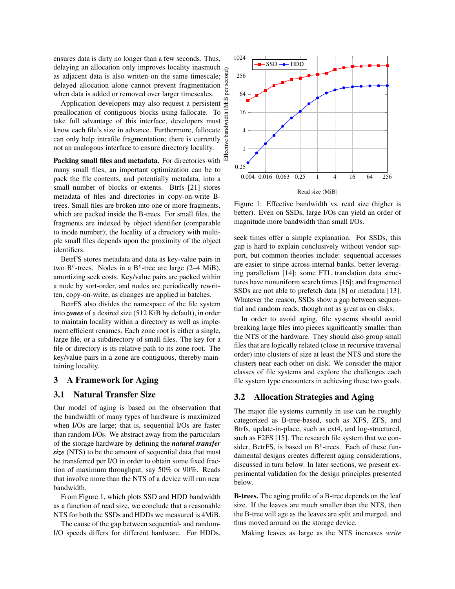ensures data is dirty no longer than a few seconds. Thus, delaying an allocation only improves locality inasmuch as adjacent data is also written on the same timescale; delayed allocation alone cannot prevent fragmentation when data is added or removed over larger timescales.

Application developers may also request a persistent preallocation of contiguous blocks using fallocate. To take full advantage of this interface, developers must know each file's size in advance. Furthermore, fallocate can only help intrafile fragmentation; there is currently not an analogous interface to ensure directory locality.

Packing small files and metadata. For directories with many small files, an important optimization can be to pack the file contents, and potentially metadata, into a small number of blocks or extents. Btrfs [21] stores metadata of files and directories in copy-on-write Btrees. Small files are broken into one or more fragments, which are packed inside the B-trees. For small files, the fragments are indexed by object identifier (comparable to inode number); the locality of a directory with multiple small files depends upon the proximity of the object identifiers.

BetrFS stores metadata and data as key-value pairs in two B<sup> $\epsilon$ </sup>-trees. Nodes in a B<sup> $\epsilon$ </sup>-tree are large (2–4 MiB), amortizing seek costs. Key/value pairs are packed within a node by sort-order, and nodes are periodically rewritten, copy-on-write, as changes are applied in batches.

BetrFS also divides the namespace of the file system into *zones* of a desired size (512 KiB by default), in order to maintain locality within a directory as well as implement efficient renames. Each zone root is either a single, large file, or a subdirectory of small files. The key for a file or directory is its relative path to its zone root. The key/value pairs in a zone are contiguous, thereby maintaining locality.

#### 3 A Framework for Aging

## 3.1 Natural Transfer Size

Our model of aging is based on the observation that the bandwidth of many types of hardware is maximized when I/Os are large; that is, sequential I/Os are faster than random I/Os. We abstract away from the particulars of the storage hardware by defining the *natural transfer size* (NTS) to be the amount of sequential data that must be transferred per I/O in order to obtain some fixed fraction of maximum throughput, say 50% or 90%. Reads that involve more than the NTS of a device will run near bandwidth.

From Figure 1, which plots SSD and HDD bandwidth as a function of read size, we conclude that a reasonable NTS for both the SSDs and HDDs we measured is 4MiB.

The cause of the gap between sequential- and random-I/O speeds differs for different hardware. For HDDs,



Figure 1: Effective bandwidth vs. read size (higher is better). Even on SSDs, large I/Os can yield an order of magnitude more bandwidth than small I/Os.

seek times offer a simple explanation. For SSDs, this gap is hard to explain conclusively without vendor support, but common theories include: sequential accesses are easier to stripe across internal banks, better leveraging parallelism [14]; some FTL translation data structures have nonuniform search times [16]; and fragmented SSDs are not able to prefetch data [8] or metadata [13]. Whatever the reason, SSDs show a gap between sequential and random reads, though not as great as on disks.

In order to avoid aging, file systems should avoid breaking large files into pieces significantly smaller than the NTS of the hardware. They should also group small files that are logically related (close in recursive traversal order) into clusters of size at least the NTS and store the clusters near each other on disk. We consider the major classes of file systems and explore the challenges each file system type encounters in achieving these two goals.

## 3.2 Allocation Strategies and Aging

The major file systems currently in use can be roughly categorized as B-tree-based, such as XFS, ZFS, and Btrfs, update-in-place, such as ext4, and log-structured, such as F2FS [15]. The research file system that we consider, BetrFS, is based on  $B^{\varepsilon}$ -trees. Each of these fundamental designs creates different aging considerations, discussed in turn below. In later sections, we present experimental validation for the design principles presented below.

B-trees. The aging profile of a B-tree depends on the leaf size. If the leaves are much smaller than the NTS, then the B-tree will age as the leaves are split and merged, and thus moved around on the storage device.

Making leaves as large as the NTS increases *write*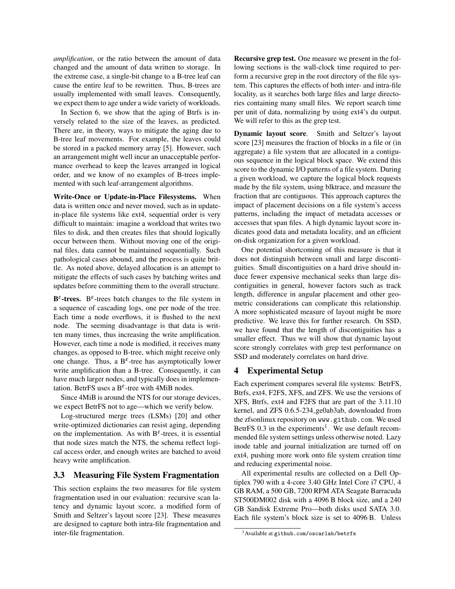*amplification*, or the ratio between the amount of data changed and the amount of data written to storage. In the extreme case, a single-bit change to a B-tree leaf can cause the entire leaf to be rewritten. Thus, B-trees are usually implemented with small leaves. Consequently, we expect them to age under a wide variety of workloads.

In Section 6, we show that the aging of Btrfs is inversely related to the size of the leaves, as predicted. There are, in theory, ways to mitigate the aging due to B-tree leaf movements. For example, the leaves could be stored in a packed memory array [5]. However, such an arrangement might well incur an unacceptable performance overhead to keep the leaves arranged in logical order, and we know of no examples of B-trees implemented with such leaf-arrangement algorithms.

Write-Once or Update-in-Place Filesystems. When data is written once and never moved, such as in updatein-place file systems like ext4, sequential order is very difficult to maintain: imagine a workload that writes two files to disk, and then creates files that should logically occur between them. Without moving one of the original files, data cannot be maintained sequentially. Such pathological cases abound, and the process is quite brittle. As noted above, delayed allocation is an attempt to mitigate the effects of such cases by batching writes and updates before committing them to the overall structure.

 $B^{\varepsilon}$ -trees.  $B^{\varepsilon}$ -trees batch changes to the file system in a sequence of cascading logs, one per node of the tree. Each time a node overflows, it is flushed to the next node. The seeming disadvantage is that data is written many times, thus increasing the write amplification. However, each time a node is modified, it receives many changes, as opposed to B-tree, which might receive only one change. Thus, a B<sup> $\varepsilon$ </sup>-tree has asymptotically lower write amplification than a B-tree. Consequently, it can have much larger nodes, and typically does in implementation. BetrFS uses a  $B^{\varepsilon}$ -tree with 4MiB nodes.

Since 4MiB is around the NTS for our storage devices, we expect BetrFS not to age—which we verify below.

Log-structured merge trees (LSMs) [20] and other write-optimized dictionaries can resist aging, depending on the implementation. As with  $B^{\varepsilon}$ -trees, it is essential that node sizes match the NTS, the schema reflect logical access order, and enough writes are batched to avoid heavy write amplification.

## 3.3 Measuring File System Fragmentation

This section explains the two measures for file system fragmentation used in our evaluation: recursive scan latency and dynamic layout score, a modified form of Smith and Seltzer's layout score [23]. These measures are designed to capture both intra-file fragmentation and inter-file fragmentation.

Recursive grep test. One measure we present in the following sections is the wall-clock time required to perform a recursive grep in the root directory of the file system. This captures the effects of both inter- and intra-file locality, as it searches both large files and large directories containing many small files. We report search time per unit of data, normalizing by using ext4's du output. We will refer to this as the grep test.

Dynamic layout score. Smith and Seltzer's layout score [23] measures the fraction of blocks in a file or (in aggregate) a file system that are allocated in a contiguous sequence in the logical block space. We extend this score to the dynamic I/O patterns of a file system. During a given workload, we capture the logical block requests made by the file system, using blktrace, and measure the fraction that are contiguous. This approach captures the impact of placement decisions on a file system's access patterns, including the impact of metadata accesses or accesses that span files. A high dynamic layout score indicates good data and metadata locality, and an efficient on-disk organization for a given workload.

One potential shortcoming of this measure is that it does not distinguish between small and large discontiguities. Small discontiguities on a hard drive should induce fewer expensive mechanical seeks than large discontiguities in general, however factors such as track length, difference in angular placement and other geometric considerations can complicate this relationship. A more sophisticated measure of layout might be more predictive. We leave this for further research. On SSD, we have found that the length of discontiguities has a smaller effect. Thus we will show that dynamic layout score strongly correlates with grep test performance on SSD and moderately correlates on hard drive.

#### 4 Experimental Setup

Each experiment compares several file systems: BetrFS, Btrfs, ext4, F2FS, XFS, and ZFS. We use the versions of XFS, Btrfs, ext4 and F2FS that are part of the 3.11.10 kernel, and ZFS 0.6.5-234 ge0ab3ab, downloaded from the zfsonlinux repository on www.github.com. We used BetrFS 0.3 in the experiments<sup>1</sup>. We use default recommended file system settings unless otherwise noted. Lazy inode table and journal initialization are turned off on ext4, pushing more work onto file system creation time and reducing experimental noise.

All experimental results are collected on a Dell Optiplex 790 with a 4-core 3.40 GHz Intel Core i7 CPU, 4 GB RAM, a 500 GB, 7200 RPM ATA Seagate Barracuda ST500DM002 disk with a 4096 B block size, and a 240 GB Sandisk Extreme Pro—both disks used SATA 3.0. Each file system's block size is set to 4096 B. Unless

<sup>1</sup>Available at github.com/oscarlab/betrfs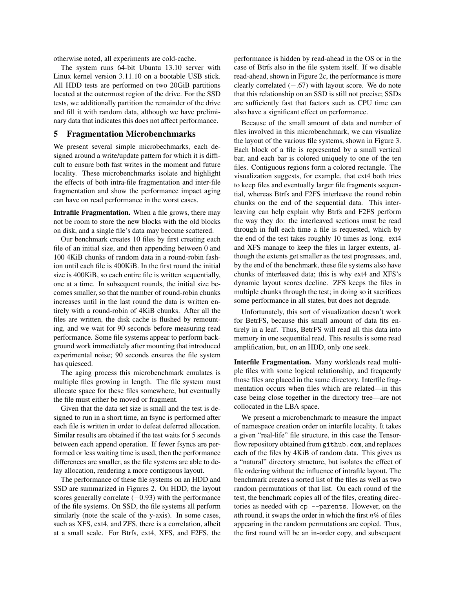otherwise noted, all experiments are cold-cache.

The system runs 64-bit Ubuntu 13.10 server with Linux kernel version 3.11.10 on a bootable USB stick. All HDD tests are performed on two 20GiB partitions located at the outermost region of the drive. For the SSD tests, we additionally partition the remainder of the drive and fill it with random data, although we have preliminary data that indicates this does not affect performance.

## 5 Fragmentation Microbenchmarks

We present several simple microbechmarks, each designed around a write/update pattern for which it is difficult to ensure both fast writes in the moment and future locality. These microbenchmarks isolate and highlight the effects of both intra-file fragmentation and inter-file fragmentation and show the performance impact aging can have on read performance in the worst cases.

Intrafile Fragmentation. When a file grows, there may not be room to store the new blocks with the old blocks on disk, and a single file's data may become scattered.

Our benchmark creates 10 files by first creating each file of an initial size, and then appending between 0 and 100 4KiB chunks of random data in a round-robin fashion until each file is 400KiB. In the first round the initial size is 400KiB, so each entire file is written sequentially, one at a time. In subsequent rounds, the initial size becomes smaller, so that the number of round-robin chunks increases until in the last round the data is written entirely with a round-robin of 4KiB chunks. After all the files are written, the disk cache is flushed by remounting, and we wait for 90 seconds before measuring read performance. Some file systems appear to perform background work immediately after mounting that introduced experimental noise; 90 seconds ensures the file system has quiesced.

The aging process this microbenchmark emulates is multiple files growing in length. The file system must allocate space for these files somewhere, but eventually the file must either be moved or fragment.

Given that the data set size is small and the test is designed to run in a short time, an fsync is performed after each file is written in order to defeat deferred allocation. Similar results are obtained if the test waits for 5 seconds between each append operation. If fewer fsyncs are performed or less waiting time is used, then the performance differences are smaller, as the file systems are able to delay allocation, rendering a more contiguous layout.

The performance of these file systems on an HDD and SSD are summarized in Figures 2. On HDD, the layout scores generally correlate  $(-0.93)$  with the performance of the file systems. On SSD, the file systems all perform similarly (note the scale of the y-axis). In some cases, such as XFS, ext4, and ZFS, there is a correlation, albeit at a small scale. For Btrfs, ext4, XFS, and F2FS, the performance is hidden by read-ahead in the OS or in the case of Btrfs also in the file system itself. If we disable read-ahead, shown in Figure 2c, the performance is more clearly correlated (−.67) with layout score. We do note that this relationship on an SSD is still not precise; SSDs are sufficiently fast that factors such as CPU time can also have a significant effect on performance.

Because of the small amount of data and number of files involved in this microbenchmark, we can visualize the layout of the various file systems, shown in Figure 3. Each block of a file is represented by a small vertical bar, and each bar is colored uniquely to one of the ten files. Contiguous regions form a colored rectangle. The visualization suggests, for example, that ext4 both tries to keep files and eventually larger file fragments sequential, whereas Btrfs and F2FS interleave the round robin chunks on the end of the sequential data. This interleaving can help explain why Btrfs and F2FS perform the way they do: the interleaved sections must be read through in full each time a file is requested, which by the end of the test takes roughly 10 times as long. ext4 and XFS manage to keep the files in larger extents, although the extents get smaller as the test progresses, and, by the end of the benchmark, these file systems also have chunks of interleaved data; this is why ext4 and XFS's dynamic layout scores decline. ZFS keeps the files in multiple chunks through the test; in doing so it sacrifices some performance in all states, but does not degrade.

Unfortunately, this sort of visualization doesn't work for BetrFS, because this small amount of data fits entirely in a leaf. Thus, BetrFS will read all this data into memory in one sequential read. This results is some read amplification, but, on an HDD, only one seek.

Interfile Fragmentation. Many workloads read multiple files with some logical relationship, and frequently those files are placed in the same directory. Interfile fragmentation occurs when files which are related—in this case being close together in the directory tree—are not collocated in the LBA space.

We present a microbenchmark to measure the impact of namespace creation order on interfile locality. It takes a given "real-life" file structure, in this case the Tensorflow repository obtained from github.com, and replaces each of the files by 4KiB of random data. This gives us a "natural" directory structure, but isolates the effect of file ordering without the influence of intrafile layout. The benchmark creates a sorted list of the files as well as two random permutations of that list. On each round of the test, the benchmark copies all of the files, creating directories as needed with cp --parents. However, on the *n*th round, it swaps the order in which the first *n*% of files appearing in the random permutations are copied. Thus, the first round will be an in-order copy, and subsequent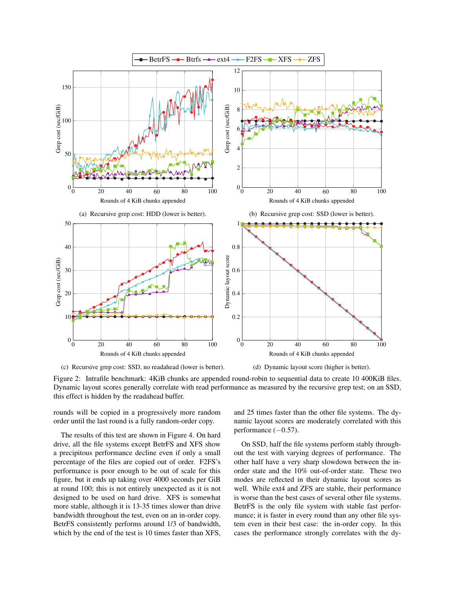

(c) Recursive grep cost: SSD, no readahead (lower is better).

(d) Dynamic layout score (higher is better).

Figure 2: Intrafile benchmark: 4KiB chunks are appended round-robin to sequential data to create 10 400KiB files. Dynamic layout scores generally correlate with read performance as measured by the recursive grep test; on an SSD, this effect is hidden by the readahead buffer.

rounds will be copied in a progressively more random order until the last round is a fully random-order copy.

The results of this test are shown in Figure 4. On hard drive, all the file systems except BetrFS and XFS show a precipitous performance decline even if only a small percentage of the files are copied out of order. F2FS's performance is poor enough to be out of scale for this figure, but it ends up taking over 4000 seconds per GiB at round 100; this is not entirely unexpected as it is not designed to be used on hard drive. XFS is somewhat more stable, although it is 13-35 times slower than drive bandwidth throughout the test, even on an in-order copy. BetrFS consistently performs around 1/3 of bandwidth, which by the end of the test is 10 times faster than XFS, and 25 times faster than the other file systems. The dynamic layout scores are moderately correlated with this performance ( $-0.57$ ).

On SSD, half the file systems perform stably throughout the test with varying degrees of performance. The other half have a very sharp slowdown between the inorder state and the 10% out-of-order state. These two modes are reflected in their dynamic layout scores as well. While ext4 and ZFS are stable, their performance is worse than the best cases of several other file systems. BetrFS is the only file system with stable fast performance; it is faster in every round than any other file system even in their best case: the in-order copy. In this cases the performance strongly correlates with the dy-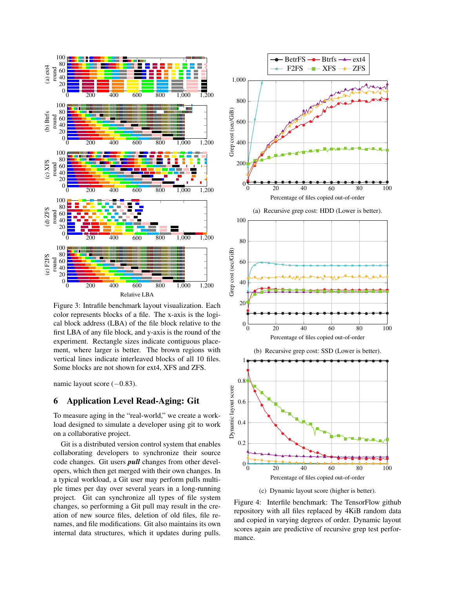

Figure 3: Intrafile benchmark layout visualization. Each color represents blocks of a file. The x-axis is the logical block address (LBA) of the file block relative to the first LBA of any file block, and y-axis is the round of the experiment. Rectangle sizes indicate contiguous placement, where larger is better. The brown regions with vertical lines indicate interleaved blocks of all 10 files. Some blocks are not shown for ext4, XFS and ZFS.

namic layout score  $(-0.83)$ .

# 6 Application Level Read-Aging: Git

To measure aging in the "real-world," we create a workload designed to simulate a developer using git to work on a collaborative project.

Git is a distributed version control system that enables collaborating developers to synchronize their source code changes. Git users *pull* changes from other developers, which then get merged with their own changes. In a typical workload, a Git user may perform pulls multiple times per day over several years in a long-running project. Git can synchronize all types of file system changes, so performing a Git pull may result in the creation of new source files, deletion of old files, file renames, and file modifications. Git also maintains its own internal data structures, which it updates during pulls.



(c) Dynamic layout score (higher is better).

Figure 4: Interfile benchmark: The TensorFlow github repository with all files replaced by 4KiB random data and copied in varying degrees of order. Dynamic layout scores again are predictive of recursive grep test performance.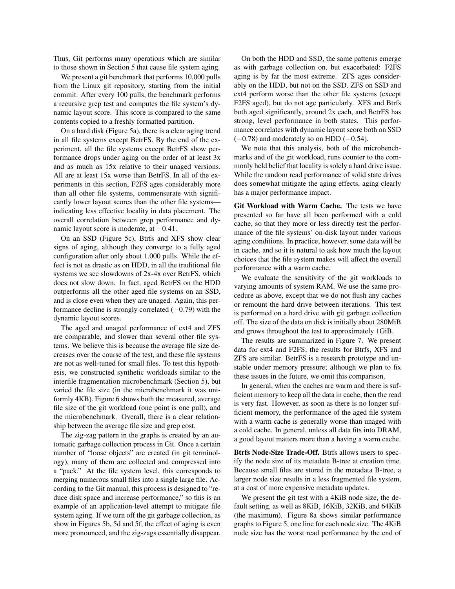Thus, Git performs many operations which are similar to those shown in Section 5 that cause file system aging.

We present a git benchmark that performs 10,000 pulls from the Linux git repository, starting from the initial commit. After every 100 pulls, the benchmark performs a recursive grep test and computes the file system's dynamic layout score. This score is compared to the same contents copied to a freshly formatted partition.

On a hard disk (Figure 5a), there is a clear aging trend in all file systems except BetrFS. By the end of the experiment, all the file systems except BetrFS show performance drops under aging on the order of at least 3x and as much as 15x relative to their unaged versions. All are at least 15x worse than BetrFS. In all of the experiments in this section, F2FS ages considerably more than all other file systems, commensurate with significantly lower layout scores than the other file systems indicating less effective locality in data placement. The overall correlation between grep performance and dynamic layout score is moderate, at −0.41.

On an SSD (Figure 5c), Btrfs and XFS show clear signs of aging, although they converge to a fully aged configuration after only about 1,000 pulls. While the effect is not as drastic as on HDD, in all the traditional file systems we see slowdowns of 2x-4x over BetrFS, which does not slow down. In fact, aged BetrFS on the HDD outperforms all the other aged file systems on an SSD, and is close even when they are unaged. Again, this performance decline is strongly correlated  $(-0.79)$  with the dynamic layout scores.

The aged and unaged performance of ext4 and ZFS are comparable, and slower than several other file systems. We believe this is because the average file size decreases over the course of the test, and these file systems are not as well-tuned for small files. To test this hypothesis, we constructed synthetic workloads similar to the interfile fragmentation microbenchmark (Section 5), but varied the file size (in the microbenchmark it was uniformly 4KB). Figure 6 shows both the measured, average file size of the git workload (one point is one pull), and the microbenchmark. Overall, there is a clear relationship between the average file size and grep cost.

The zig-zag pattern in the graphs is created by an automatic garbage collection process in Git. Once a certain number of "loose objects" are created (in git terminology), many of them are collected and compressed into a "pack." At the file system level, this corresponds to merging numerous small files into a single large file. According to the Git manual, this process is designed to "reduce disk space and increase performance," so this is an example of an application-level attempt to mitigate file system aging. If we turn off the git garbage collection, as show in Figures 5b, 5d and 5f, the effect of aging is even more pronounced, and the zig-zags essentially disappear.

On both the HDD and SSD, the same patterns emerge as with garbage collection on, but exacerbated: F2FS aging is by far the most extreme. ZFS ages considerably on the HDD, but not on the SSD. ZFS on SSD and ext4 perform worse than the other file systems (except F2FS aged), but do not age particularly. XFS and Btrfs both aged significantly, around 2x each, and BetrFS has strong, level performance in both states. This performance correlates with dynamic layout score both on SSD  $(-0.78)$  and moderately so on HDD  $(-0.54)$ .

We note that this analysis, both of the microbenchmarks and of the git workload, runs counter to the commonly held belief that locality is solely a hard drive issue. While the random read performance of solid state drives does somewhat mitigate the aging effects, aging clearly has a major performance impact.

Git Workload with Warm Cache. The tests we have presented so far have all been performed with a cold cache, so that they more or less directly test the performance of the file systems' on-disk layout under various aging conditions. In practice, however, some data will be in cache, and so it is natural to ask how much the layout choices that the file system makes will affect the overall performance with a warm cache.

We evaluate the sensitivity of the git workloads to varying amounts of system RAM. We use the same procedure as above, except that we do not flush any caches or remount the hard drive between iterations. This test is performed on a hard drive with git garbage collection off. The size of the data on disk is initially about 280MiB and grows throughout the test to approximately 1GiB.

The results are summarized in Figure 7. We present data for ext4 and F2FS; the results for Btrfs, XFS and ZFS are similar. BetrFS is a research prototype and unstable under memory pressure; although we plan to fix these issues in the future, we omit this comparison.

In general, when the caches are warm and there is sufficient memory to keep all the data in cache, then the read is very fast. However, as soon as there is no longer sufficient memory, the performance of the aged file system with a warm cache is generally worse than unaged with a cold cache. In general, unless all data fits into DRAM, a good layout matters more than a having a warm cache.

Btrfs Node-Size Trade-Off. Btrfs allows users to specify the node size of its metadata B-tree at creation time. Because small files are stored in the metadata B-tree, a larger node size results in a less fragmented file system, at a cost of more expensive metadata updates.

We present the git test with a 4KiB node size, the default setting, as well as 8KiB, 16KiB, 32KiB, and 64KiB (the maximum). Figure 8a shows similar performance graphs to Figure 5, one line for each node size. The 4KiB node size has the worst read performance by the end of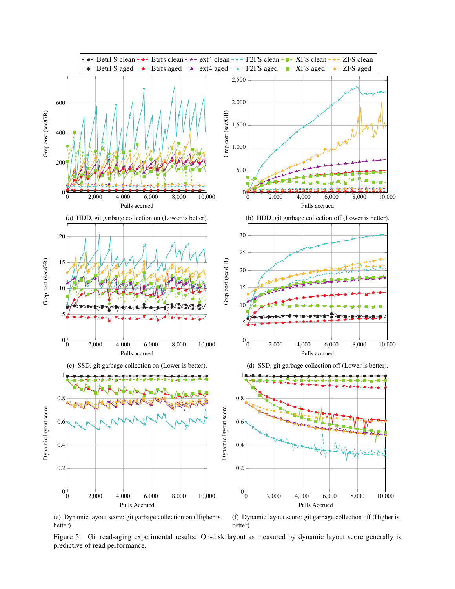

(e) Dynamic layout score: git garbage collection on (Higher is better).

(f) Dynamic layout score: git garbage collection off (Higher is better).

Figure 5: Git read-aging experimental results: On-disk layout as measured by dynamic layout score generally is predictive of read performance.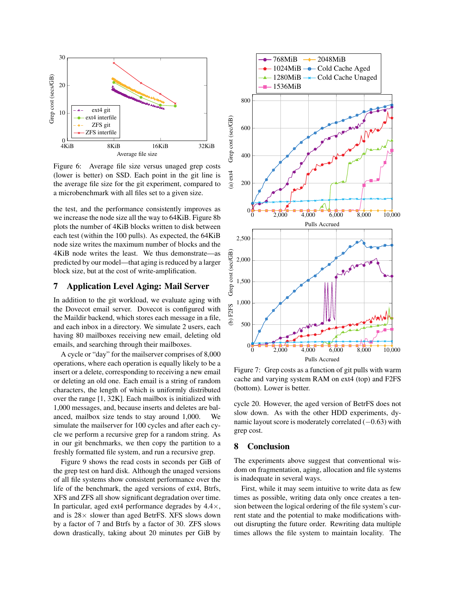

Figure 6: Average file size versus unaged grep costs (lower is better) on SSD. Each point in the git line is the average file size for the git experiment, compared to a microbenchmark with all files set to a given size.

the test, and the performance consistently improves as we increase the node size all the way to 64KiB. Figure 8b plots the number of 4KiB blocks written to disk between each test (within the 100 pulls). As expected, the 64KiB node size writes the maximum number of blocks and the 4KiB node writes the least. We thus demonstrate—as predicted by our model—that aging is reduced by a larger block size, but at the cost of write-amplification.

#### 7 Application Level Aging: Mail Server

In addition to the git workload, we evaluate aging with the Dovecot email server. Dovecot is configured with the Maildir backend, which stores each message in a file, and each inbox in a directory. We simulate 2 users, each having 80 mailboxes receiving new email, deleting old emails, and searching through their mailboxes.

A cycle or "day" for the mailserver comprises of 8,000 operations, where each operation is equally likely to be a insert or a delete, corresponding to receiving a new email or deleting an old one. Each email is a string of random characters, the length of which is uniformly distributed over the range [1, 32K]. Each mailbox is initialized with 1,000 messages, and, because inserts and deletes are balanced, mailbox size tends to stay around 1,000. We simulate the mailserver for 100 cycles and after each cycle we perform a recursive grep for a random string. As in our git benchmarks, we then copy the partition to a freshly formatted file system, and run a recursive grep.

Figure 9 shows the read costs in seconds per GiB of the grep test on hard disk. Although the unaged versions of all file systems show consistent performance over the life of the benchmark, the aged versions of ext4, Btrfs, XFS and ZFS all show significant degradation over time. In particular, aged ext4 performance degrades by  $4.4 \times$ , and is  $28 \times$  slower than aged BetrFS. XFS slows down by a factor of 7 and Btrfs by a factor of 30. ZFS slows down drastically, taking about 20 minutes per GiB by



Figure 7: Grep costs as a function of git pulls with warm cache and varying system RAM on ext4 (top) and F2FS (bottom). Lower is better.

cycle 20. However, the aged version of BetrFS does not slow down. As with the other HDD experiments, dynamic layout score is moderately correlated (−0.63) with grep cost.

# 8 Conclusion

The experiments above suggest that conventional wisdom on fragmentation, aging, allocation and file systems is inadequate in several ways.

First, while it may seem intuitive to write data as few times as possible, writing data only once creates a tension between the logical ordering of the file system's current state and the potential to make modifications without disrupting the future order. Rewriting data multiple times allows the file system to maintain locality. The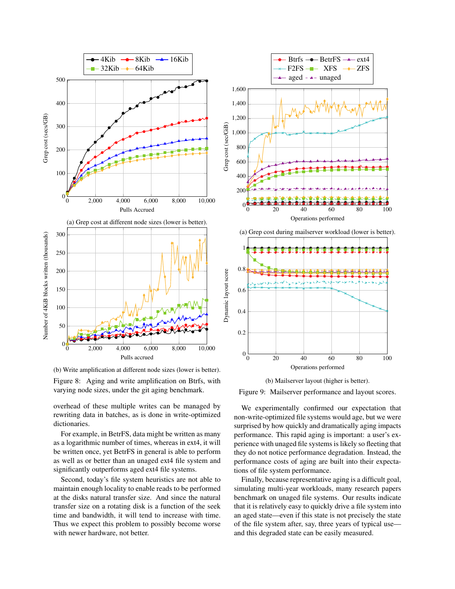

(b) Write amplification at different node sizes (lower is better).

Figure 8: Aging and write amplification on Btrfs, with varying node sizes, under the git aging benchmark.

overhead of these multiple writes can be managed by rewriting data in batches, as is done in write-optimized dictionaries.

For example, in BetrFS, data might be written as many as a logarithmic number of times, whereas in ext4, it will be written once, yet BetrFS in general is able to perform as well as or better than an unaged ext4 file system and significantly outperforms aged ext4 file systems.

Second, today's file system heuristics are not able to maintain enough locality to enable reads to be performed at the disks natural transfer size. And since the natural transfer size on a rotating disk is a function of the seek time and bandwidth, it will tend to increase with time. Thus we expect this problem to possibly become worse with newer hardware, not better.





Figure 9: Mailserver performance and layout scores.

We experimentally confirmed our expectation that non-write-optimized file systems would age, but we were surprised by how quickly and dramatically aging impacts performance. This rapid aging is important: a user's experience with unaged file systems is likely so fleeting that they do not notice performance degradation. Instead, the performance costs of aging are built into their expectations of file system performance.

Finally, because representative aging is a difficult goal, simulating multi-year workloads, many research papers benchmark on unaged file systems. Our results indicate that it is relatively easy to quickly drive a file system into an aged state—even if this state is not precisely the state of the file system after, say, three years of typical use and this degraded state can be easily measured.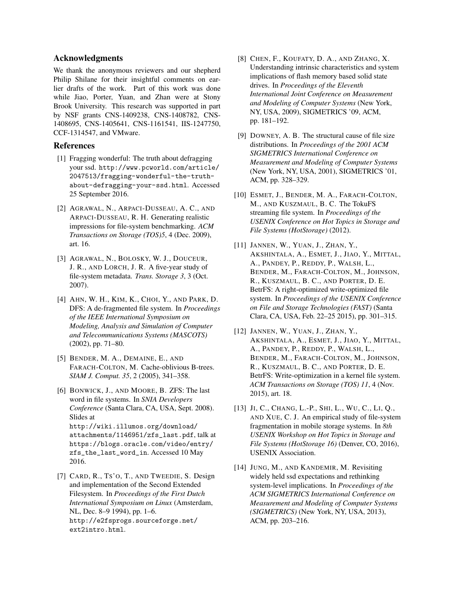## Acknowledgments

We thank the anonymous reviewers and our shepherd Philip Shilane for their insightful comments on earlier drafts of the work. Part of this work was done while Jiao, Porter, Yuan, and Zhan were at Stony Brook University. This research was supported in part by NSF grants CNS-1409238, CNS-1408782, CNS-1408695, CNS-1405641, CNS-1161541, IIS-1247750, CCF-1314547, and VMware.

## References

- [1] Fragging wonderful: The truth about defragging your ssd. http://www.pcworld.com/article/ 2047513/fragging-wonderful-the-truthabout-defragging-your-ssd.html. Accessed 25 September 2016.
- [2] AGRAWAL, N., ARPACI-DUSSEAU, A. C., AND ARPACI-DUSSEAU, R. H. Generating realistic impressions for file-system benchmarking. *ACM Transactions on Storage (TOS)5*, 4 (Dec. 2009), art. 16.
- [3] AGRAWAL, N., BOLOSKY, W. J., DOUCEUR, J. R., AND LORCH, J. R. A five-year study of file-system metadata. *Trans. Storage 3*, 3 (Oct. 2007).
- [4] AHN, W. H., KIM, K., CHOI, Y., AND PARK, D. DFS: A de-fragmented file system. In *Proceedings of the IEEE International Symposium on Modeling, Analysis and Simulation of Computer and Telecommunications Systems (MASCOTS)* (2002), pp. 71–80.
- [5] BENDER, M. A., DEMAINE, E., AND FARACH-COLTON, M. Cache-oblivious B-trees. *SIAM J. Comput. 35*, 2 (2005), 341–358.
- [6] BONWICK, J., AND MOORE, B. ZFS: The last word in file systems. In *SNIA Developers Conference* (Santa Clara, CA, USA, Sept. 2008). Slides at http://wiki.illumos.org/download/ attachments/1146951/zfs\_last.pdf, talk at https://blogs.oracle.com/video/entry/ zfs\_the\_last\_word\_in. Accessed 10 May 2016.
- [7] CARD, R., Ts'O, T., AND TWEEDIE, S. Design and implementation of the Second Extended Filesystem. In *Proceedings of the First Dutch International Symposium on Linux* (Amsterdam, NL, Dec. 8–9 1994), pp. 1–6. http://e2fsprogs.sourceforge.net/ ext2intro.html.
- [8] CHEN, F., KOUFATY, D. A., AND ZHANG, X. Understanding intrinsic characteristics and system implications of flash memory based solid state drives. In *Proceedings of the Eleventh International Joint Conference on Measurement and Modeling of Computer Systems* (New York, NY, USA, 2009), SIGMETRICS '09, ACM, pp. 181–192.
- [9] DOWNEY, A. B. The structural cause of file size distributions. In *Proceedings of the 2001 ACM SIGMETRICS International Conference on Measurement and Modeling of Computer Systems* (New York, NY, USA, 2001), SIGMETRICS '01, ACM, pp. 328–329.
- [10] ESMET, J., BENDER, M. A., FARACH-COLTON, M., AND KUSZMAUL, B. C. The TokuFS streaming file system. In *Proceedings of the USENIX Conference on Hot Topics in Storage and File Systems (HotStorage)* (2012).
- [11] JANNEN, W., YUAN, J., ZHAN, Y., AKSHINTALA, A., ESMET, J., JIAO, Y., MITTAL, A., PANDEY, P., REDDY, P., WALSH, L., BENDER, M., FARACH-COLTON, M., JOHNSON, R., KUSZMAUL, B. C., AND PORTER, D. E. BetrFS: A right-optimized write-optimized file system. In *Proceedings of the USENIX Conference on File and Storage Technologies (FAST)* (Santa Clara, CA, USA, Feb. 22–25 2015), pp. 301–315.
- [12] JANNEN, W., YUAN, J., ZHAN, Y., AKSHINTALA, A., ESMET, J., JIAO, Y., MITTAL, A., PANDEY, P., REDDY, P., WALSH, L., BENDER, M., FARACH-COLTON, M., JOHNSON, R., KUSZMAUL, B. C., AND PORTER, D. E. BetrFS: Write-optimization in a kernel file system. *ACM Transactions on Storage (TOS) 11*, 4 (Nov. 2015), art. 18.
- [13] JI, C., CHANG, L.-P., SHI, L., WU, C., LI, Q., AND XUE, C. J. An empirical study of file-system fragmentation in mobile storage systems. In *8th USENIX Workshop on Hot Topics in Storage and File Systems (HotStorage 16)* (Denver, CO, 2016), USENIX Association.
- [14] JUNG, M., AND KANDEMIR, M. Revisiting widely held ssd expectations and rethinking system-level implications. In *Proceedings of the ACM SIGMETRICS International Conference on Measurement and Modeling of Computer Systems (SIGMETRICS)* (New York, NY, USA, 2013), ACM, pp. 203–216.